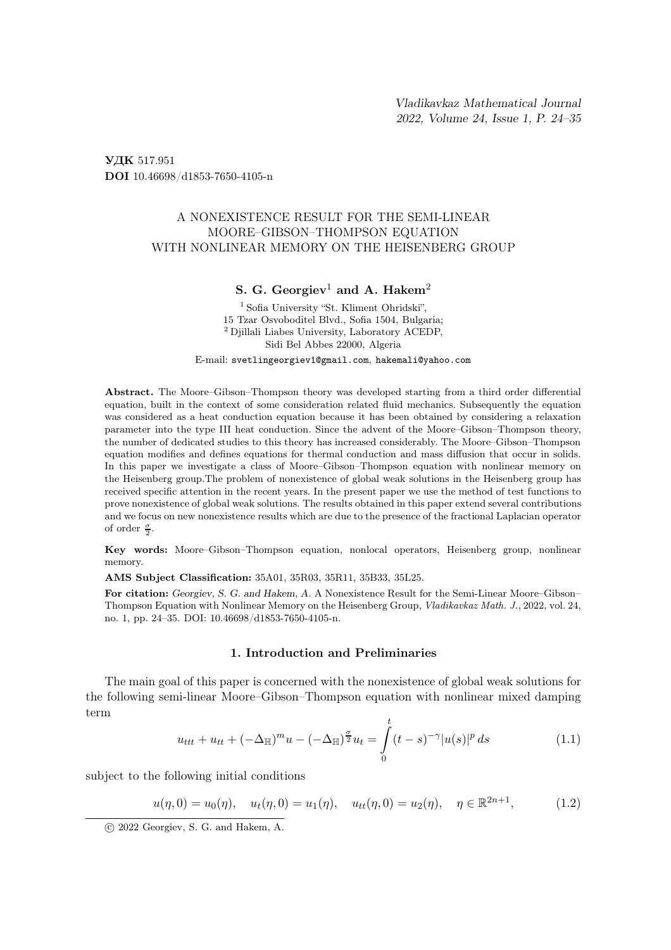УДК 517.951 DOI 10.46698/d1853-7650-4105-n

## A NONEXISTENCE RESULT FOR THE SEMI-LINEAR MOORE–GIBSON–THOMPSON EQUATION WITH NONLINEAR MEMORY ON THE HEISENBERG GROUP

# S. G. Georgiev<sup>1</sup> and A. Hakem<sup>2</sup>

<sup>1</sup> Sofia University "St. Kliment Ohridski". 15 Tzar Osvoboditel Blvd., Sofia 1504, Bulgaria; <sup>2</sup> Djillali Liabes University, Laboratory ACEDP, Sidi Bel Abbes 22000, Algeria

E-mail: svetlingeorgiev1@gmail.com, hakemali@yahoo.com

Abstract. The Moore–Gibson–Thompson theory was developed starting from a third order differential equation, built in the context of some consideration related fluid mechanics. Subsequently the equation was considered as a heat conduction equation because it has been obtained by considering a relaxation parameter into the type III heat conduction. Since the advent of the Moore–Gibson–Thompson theory, the number of dedicated studies to this theory has increased considerably. The Moore–Gibson–Thompson equation modifies and defines equations for thermal conduction and mass diffusion that occur in solids. In this paper we investigate a class of Moore–Gibson–Thompson equation with nonlinear memory on the Heisenberg group.The problem of nonexistence of global weak solutions in the Heisenberg group has received specific attention in the recent years. In the present paper we use the method of test functions to prove nonexistence of global weak solutions. The results obtained in this paper extend several contributions and we focus on new nonexistence results which are due to the presence of the fractional Laplacian operator of order  $\frac{\sigma}{2}$ .

Key words: Moore–Gibson–Thompson equation, nonlocal operators, Heisenberg group, nonlinear memory.

AMS Subject Classification: 35A01, 35R03, 35R11, 35B33, 35L25.

For citation: Georgiev, S. G. and Hakem, A. A Nonexistence Result for the Semi-Linear Moore–Gibson– Thompson Equation with Nonlinear Memory on the Heisenberg Group, Vladikavkaz Math. J., 2022, vol. 24, no. 1, pp. 24–35. DOI: 10.46698/d1853-7650-4105-n.

#### 1. Introduction and Preliminaries

The main goal of this paper is concerned with the nonexistence of global weak solutions for the following semi-linear Moore–Gibson–Thompson equation with nonlinear mixed damping term

$$
u_{ttt} + u_{tt} + (-\Delta_{\mathbb{H}})^m u - (-\Delta_{\mathbb{H}})^{\frac{\sigma}{2}} u_t = \int_0^t (t - s)^{-\gamma} |u(s)|^p ds \qquad (1.1)
$$

subject to the following initial conditions

$$
u(\eta, 0) = u_0(\eta), \quad u_t(\eta, 0) = u_1(\eta), \quad u_{tt}(\eta, 0) = u_2(\eta), \quad \eta \in \mathbb{R}^{2n+1},
$$
 (1.2)

c 2022 Georgiev, S. G. and Hakem, A.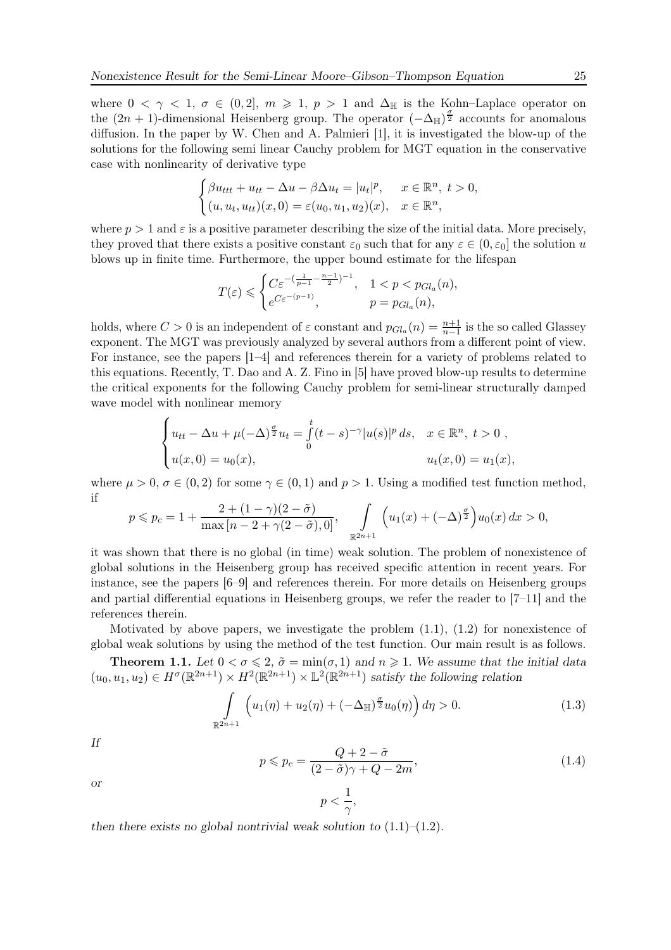where  $0 < \gamma < 1$ ,  $\sigma \in (0, 2], m \ge 1$ ,  $p > 1$  and  $\Delta_{\mathbb{H}}$  is the Kohn–Laplace operator on the  $(2n + 1)$ -dimensional Heisenberg group. The operator  $(-\Delta_{\mathbb{H}})^{\frac{\sigma}{2}}$  accounts for anomalous diffusion. In the paper by W. Chen and A. Palmieri [1], it is investigated the blow-up of the solutions for the following semi linear Cauchy problem for MGT equation in the conservative case with nonlinearity of derivative type

$$
\begin{cases}\n\beta u_{ttt} + u_{tt} - \Delta u - \beta \Delta u_t = |u_t|^p, & x \in \mathbb{R}^n, \ t > 0, \\
(u, u_t, u_{tt})(x, 0) = \varepsilon (u_0, u_1, u_2)(x), & x \in \mathbb{R}^n,\n\end{cases}
$$

where  $p > 1$  and  $\varepsilon$  is a positive parameter describing the size of the initial data. More precisely, they proved that there exists a positive constant  $\varepsilon_0$  such that for any  $\varepsilon \in (0, \varepsilon_0]$  the solution u blows up in finite time. Furthermore, the upper bound estimate for the lifespan

$$
T(\varepsilon) \leqslant \begin{cases} C \varepsilon^{-(\frac{1}{p-1}-\frac{n-1}{2})^{-1}}, & 1 < p < p_{Gl_a}(n), \\ e^{C \varepsilon^{-(p-1)}}, & p = p_{Gl_a}(n), \end{cases}
$$

holds, where  $C > 0$  is an independent of  $\varepsilon$  constant and  $p_{Gl_a}(n) = \frac{n+1}{n-1}$  is the so called Glassey exponent. The MGT was previously analyzed by several authors from a different point of view. For instance, see the papers [1–4] and references therein for a variety of problems related to this equations. Recently, T. Dao and A. Z. Fino in [5] have proved blow-up results to determine the critical exponents for the following Cauchy problem for semi-linear structurally damped wave model with nonlinear memory

$$
\begin{cases} u_{tt} - \Delta u + \mu(-\Delta)^{\frac{\sigma}{2}} u_t = \int_0^t (t-s)^{-\gamma} |u(s)|^p ds, & x \in \mathbb{R}^n, \ t > 0 ,\\ u(x,0) = u_0(x), & u_t(x,0) = u_1(x), \end{cases}
$$

where  $\mu > 0$ ,  $\sigma \in (0, 2)$  for some  $\gamma \in (0, 1)$  and  $p > 1$ . Using a modified test function method, if

$$
p \leqslant p_c = 1 + \frac{2 + (1 - \gamma)(2 - \tilde{\sigma})}{\max\left[n - 2 + \gamma(2 - \tilde{\sigma}), 0\right]}, \quad \int_{\mathbb{R}^{2n+1}} \left( u_1(x) + (-\Delta)^{\frac{\sigma}{2}} \right) u_0(x) \, dx > 0,
$$

it was shown that there is no global (in time) weak solution. The problem of nonexistence of global solutions in the Heisenberg group has received specific attention in recent years. For instance, see the papers [6–9] and references therein. For more details on Heisenberg groups and partial differential equations in Heisenberg groups, we refer the reader to [7–11] and the references therein.

Motivated by above papers, we investigate the problem  $(1.1)$ ,  $(1.2)$  for nonexistence of global weak solutions by using the method of the test function. Our main result is as follows.

**Theorem 1.1.** Let  $0 < \sigma \leq 2$ ,  $\tilde{\sigma} = \min(\sigma, 1)$  and  $n \geq 1$ . We assume that the initial data  $(u_0, u_1, u_2) \in H^{\sigma}(\mathbb{R}^{2n+1}) \times H^2(\mathbb{R}^{2n+1}) \times \mathbb{L}^2(\mathbb{R}^{2n+1})$  satisfy the following relation

> $p < \frac{1}{2}$  $\frac{1}{\gamma},$

$$
\int_{\mathbb{R}^{2n+1}} \left( u_1(\eta) + u_2(\eta) + (-\Delta_{\mathbb{H}})^{\frac{\sigma}{2}} u_0(\eta) \right) d\eta > 0.
$$
 (1.3)

If

$$
p \leqslant p_c = \frac{Q + 2 - \tilde{\sigma}}{(2 - \tilde{\sigma})\gamma + Q - 2m},\tag{1.4}
$$

or

then there exists no global nontrivial weak solution to  $(1.1)$ – $(1.2)$ .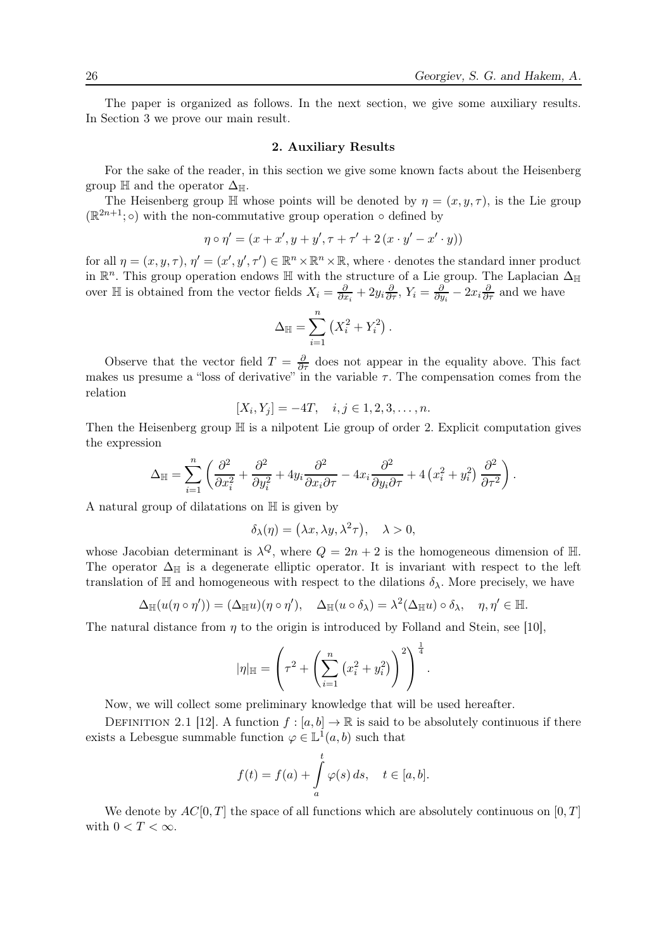The paper is organized as follows. In the next section, we give some auxiliary results. In Section 3 we prove our main result.

## 2. Auxiliary Results

For the sake of the reader, in this section we give some known facts about the Heisenberg group  $\mathbb H$  and the operator  $\Delta_{\mathbb H}$ .

The Heisenberg group  $\mathbb H$  whose points will be denoted by  $\eta = (x, y, \tau)$ , is the Lie group  $(\mathbb{R}^{2n+1}; \circ)$  with the non-commutative group operation  $\circ$  defined by

$$
\eta \circ \eta' = (x + x', y + y', \tau + \tau' + 2(x \cdot y' - x' \cdot y))
$$

for all  $\eta = (x, y, \tau), \eta' = (x', y', \tau') \in \mathbb{R}^n \times \mathbb{R}^n \times \mathbb{R}$ , where  $\cdot$  denotes the standard inner product in  $\mathbb{R}^n$ . This group operation endows  $\mathbb H$  with the structure of a Lie group. The Laplacian  $\Delta_{\mathbb H}$ over  $\mathbb H$  is obtained from the vector fields  $X_i = \frac{\partial}{\partial x_i} + 2y_i \frac{\partial}{\partial \tau}$ ,  $Y_i = \frac{\partial}{\partial y_i} - 2x_i \frac{\partial}{\partial \tau}$  and we have

$$
\Delta_{\mathbb{H}} = \sum_{i=1}^{n} \left( X_i^2 + Y_i^2 \right).
$$

Observe that the vector field  $T = \frac{\partial}{\partial \tau}$  does not appear in the equality above. This fact makes us presume a "loss of derivative" in the variable  $\tau$ . The compensation comes from the relation

$$
[X_i, Y_j] = -4T, \quad i, j \in 1, 2, 3, \dots, n.
$$

Then the Heisenberg group  $\mathbb H$  is a nilpotent Lie group of order 2. Explicit computation gives the expression

$$
\Delta \mathbb{H} = \sum_{i=1}^{n} \left( \frac{\partial^2}{\partial x_i^2} + \frac{\partial^2}{\partial y_i^2} + 4y_i \frac{\partial^2}{\partial x_i \partial \tau} - 4x_i \frac{\partial^2}{\partial y_i \partial \tau} + 4(x_i^2 + y_i^2) \frac{\partial^2}{\partial \tau^2} \right).
$$

A natural group of dilatations on H is given by

$$
\delta_{\lambda}(\eta) = (\lambda x, \lambda y, \lambda^2 \tau), \quad \lambda > 0,
$$

whose Jacobian determinant is  $\lambda^Q$ , where  $Q = 2n + 2$  is the homogeneous dimension of H. The operator  $\Delta_{\mathbb{H}}$  is a degenerate elliptic operator. It is invariant with respect to the left translation of  $\mathbb H$  and homogeneous with respect to the dilations  $\delta_{\lambda}$ . More precisely, we have

$$
\Delta_{\mathbb{H}}(u(\eta \circ \eta')) = (\Delta_{\mathbb{H}}u)(\eta \circ \eta'), \quad \Delta_{\mathbb{H}}(u \circ \delta_{\lambda}) = \lambda^2(\Delta_{\mathbb{H}}u) \circ \delta_{\lambda}, \quad \eta, \eta' \in \mathbb{H}.
$$

The natural distance from  $\eta$  to the origin is introduced by Folland and Stein, see [10],

$$
|\eta|_{\mathbb{H}} = \left(\tau^2 + \left(\sum_{i=1}^n (x_i^2 + y_i^2)\right)^2\right)^{\frac{1}{4}}.
$$

Now, we will collect some preliminary knowledge that will be used hereafter.

DEFINITION 2.1 [12]. A function  $f : [a, b] \to \mathbb{R}$  is said to be absolutely continuous if there exists a Lebesgue summable function  $\varphi \in \mathbb{L}^{\mathbb{I}}(a, b)$  such that

$$
f(t) = f(a) + \int_{a}^{t} \varphi(s) ds, \quad t \in [a, b].
$$

We denote by  $AC[0, T]$  the space of all functions which are absolutely continuous on  $[0, T]$ with  $0 < T < \infty$ .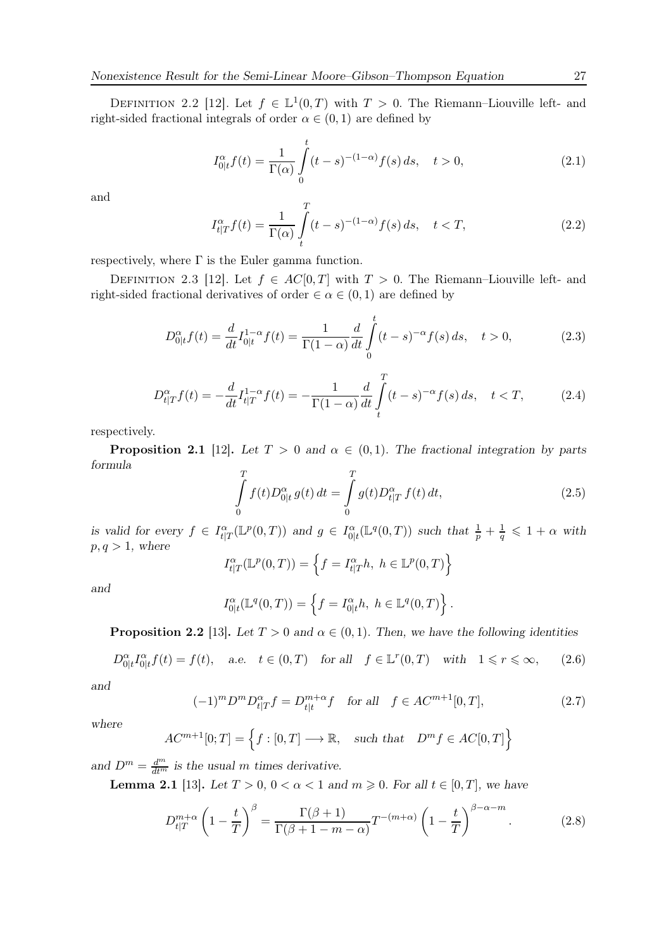DEFINITION 2.2 [12]. Let  $f \in \mathbb{L}^1(0,T)$  with  $T > 0$ . The Riemann–Liouville left- and right-sided fractional integrals of order  $\alpha \in (0,1)$  are defined by

$$
I_{0|t}^{\alpha} f(t) = \frac{1}{\Gamma(\alpha)} \int_{0}^{t} (t - s)^{-(1 - \alpha)} f(s) ds, \quad t > 0,
$$
\n(2.1)

and

$$
I_{t|T}^{\alpha} f(t) = \frac{1}{\Gamma(\alpha)} \int_{t}^{T} (t - s)^{-(1 - \alpha)} f(s) \, ds, \quad t < T,\tag{2.2}
$$

respectively, where  $\Gamma$  is the Euler gamma function.

DEFINITION 2.3 [12]. Let  $f \in AC[0,T]$  with  $T > 0$ . The Riemann–Liouville left- and right-sided fractional derivatives of order  $\in \alpha \in (0,1)$  are defined by

$$
D_{0|t}^{\alpha} f(t) = \frac{d}{dt} I_{0|t}^{1-\alpha} f(t) = \frac{1}{\Gamma(1-\alpha)} \frac{d}{dt} \int_{0}^{t} (t-s)^{-\alpha} f(s) \, ds, \quad t > 0,\tag{2.3}
$$

$$
D_{t|T}^{\alpha} f(t) = -\frac{d}{dt} I_{t|T}^{1-\alpha} f(t) = -\frac{1}{\Gamma(1-\alpha)} \frac{d}{dt} \int_{t}^{T} (t-s)^{-\alpha} f(s) \, ds, \quad t < T,\tag{2.4}
$$

respectively.

**Proposition 2.1** [12]. Let  $T > 0$  and  $\alpha \in (0,1)$ . The fractional integration by parts formula

$$
\int_{0}^{T} f(t)D_{0|t}^{\alpha} g(t) dt = \int_{0}^{T} g(t)D_{t|T}^{\alpha} f(t) dt,
$$
\n(2.5)

is valid for every  $f \in I_{t|T}^{\alpha}(\mathbb{L}^p(0,T))$  and  $g \in I_{0|t}^{\alpha}(\mathbb{L}^q(0,T))$  such that  $\frac{1}{p} + \frac{1}{q} \leq 1 + \alpha$  with  $p, q > 1$ , where

$$
I_{t|T}^{\alpha}(\mathbb{L}^p(0,T)) = \left\{ f = I_{t|T}^{\alpha}h, \ h \in \mathbb{L}^p(0,T) \right\}
$$

and

$$
I_{0|t}^{\alpha}(\mathbb{L}^q(0,T)) = \left\{ f = I_{0|t}^{\alpha}h, \ h \in \mathbb{L}^q(0,T) \right\}.
$$

**Proposition 2.2** [13]. Let  $T > 0$  and  $\alpha \in (0, 1)$ . Then, we have the following identities

$$
D_{0|t}^{\alpha} I_{0|t}^{\alpha} f(t) = f(t), \quad \text{a.e.} \quad t \in (0, T) \quad \text{for all} \quad f \in \mathbb{L}^r(0, T) \quad \text{with} \quad 1 \leq r \leq \infty, \tag{2.6}
$$

and

$$
(-1)^{m} D^{m} D_{t|T}^{\alpha} f = D_{t|t}^{m+\alpha} f \quad \text{for all} \quad f \in AC^{m+1}[0, T], \tag{2.7}
$$

where

$$
AC^{m+1}[0;T] = \left\{ f : [0,T] \longrightarrow \mathbb{R}, \text{ such that } D^m f \in AC[0,T] \right\}
$$

and  $D^m = \frac{d^m}{dt^m}$  is the usual m times derivative.

**Lemma 2.1** [13]. Let  $T > 0$ ,  $0 < \alpha < 1$  and  $m \geq 0$ . For all  $t \in [0, T]$ , we have

$$
D_{t|T}^{m+\alpha} \left(1 - \frac{t}{T}\right)^{\beta} = \frac{\Gamma(\beta+1)}{\Gamma(\beta+1-m-\alpha)} T^{-(m+\alpha)} \left(1 - \frac{t}{T}\right)^{\beta-\alpha-m}.
$$
 (2.8)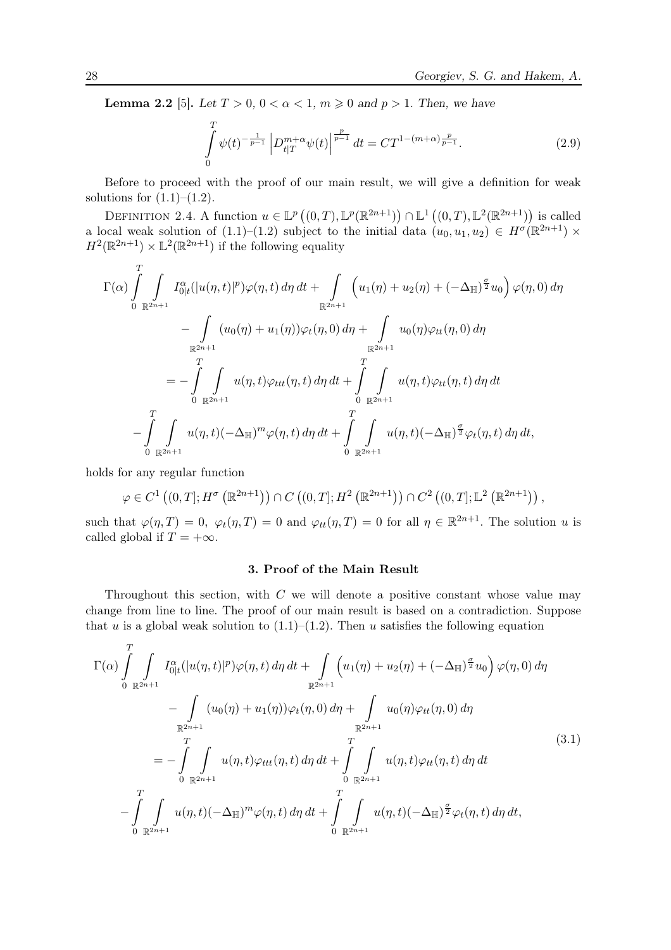**Lemma 2.2** [5]. Let  $T > 0$ ,  $0 < \alpha < 1$ ,  $m \ge 0$  and  $p > 1$ . Then, we have

$$
\int_{0}^{T} \psi(t)^{-\frac{1}{p-1}} \left| D_{t|T}^{m+\alpha} \psi(t) \right|^{\frac{p}{p-1}} dt = C T^{1-(m+\alpha)\frac{p}{p-1}}.
$$
\n(2.9)

Before to proceed with the proof of our main result, we will give a definition for weak solutions for  $(1.1)–(1.2)$ .

DEFINITION 2.4. A function  $u \in \mathbb{L}^p((0,T),\mathbb{L}^p(\mathbb{R}^{2n+1})) \cap \mathbb{L}^1((0,T),\mathbb{L}^2(\mathbb{R}^{2n+1}))$  is called a local weak solution of  $(1.1)$ – $(1.2)$  subject to the initial data  $(u_0, u_1, u_2) \in H^{\sigma}(\mathbb{R}^{2n+1}) \times$  $H^2(\mathbb{R}^{2n+1}) \times \mathbb{L}^2(\mathbb{R}^{2n+1})$  if the following equality

$$
\Gamma(\alpha) \int_{0}^{T} \int_{\mathbb{R}^{2n+1}} I_{0|t}^{\alpha}(|u(\eta,t)|^{p}) \varphi(\eta,t) d\eta dt + \int_{\mathbb{R}^{2n+1}} \left( u_{1}(\eta) + u_{2}(\eta) + (-\Delta_{\mathbb{H}})^{\frac{\sigma}{2}} u_{0} \right) \varphi(\eta,0) d\eta \n- \int_{\mathbb{R}^{2n+1}} (u_{0}(\eta) + u_{1}(\eta)) \varphi_{t}(\eta,0) d\eta + \int_{\mathbb{R}^{2n+1}} u_{0}(\eta) \varphi_{tt}(\eta,0) d\eta \n= - \int_{0}^{T} \int_{\mathbb{R}^{2n+1}} u(\eta,t) \varphi_{ttt}(\eta,t) d\eta dt + \int_{0}^{T} \int_{\mathbb{R}^{2n+1}} u(\eta,t) \varphi_{tt}(\eta,t) d\eta dt \n- \int_{0}^{T} \int_{\mathbb{R}^{2n+1}} u(\eta,t) (-\Delta_{\mathbb{H}})^{m} \varphi(\eta,t) d\eta dt + \int_{0}^{T} \int_{\mathbb{R}^{2n+1}} u(\eta,t) (-\Delta_{\mathbb{H}})^{\frac{\sigma}{2}} \varphi_{t}(\eta,t) d\eta dt,
$$

holds for any regular function

$$
\varphi \in C^{1}\left((0,T];H^{\sigma}\left(\mathbb{R}^{2n+1}\right)\right) \cap C\left((0,T];H^{2}\left(\mathbb{R}^{2n+1}\right)\right) \cap C^{2}\left((0,T];\mathbb{L}^{2}\left(\mathbb{R}^{2n+1}\right)\right),
$$

such that  $\varphi(\eta, T) = 0$ ,  $\varphi_t(\eta, T) = 0$  and  $\varphi_{tt}(\eta, T) = 0$  for all  $\eta \in \mathbb{R}^{2n+1}$ . The solution u is called global if  $T = +\infty$ .

### 3. Proof of the Main Result

Throughout this section, with  $C$  we will denote a positive constant whose value may change from line to line. The proof of our main result is based on a contradiction. Suppose that u is a global weak solution to  $(1.1)$ – $(1.2)$ . Then u satisfies the following equation

$$
\Gamma(\alpha) \int_{0}^{T} \int_{\mathbb{R}^{2n+1}} I_{0|t}^{\alpha} (|u(\eta, t)|^{p}) \varphi(\eta, t) d\eta dt + \int_{\mathbb{R}^{2n+1}} \left( u_{1}(\eta) + u_{2}(\eta) + (-\Delta_{\mathbb{H}})^{\frac{\sigma}{2}} u_{0} \right) \varphi(\eta, 0) d\eta \n- \int_{\mathbb{R}^{2n+1}} (u_{0}(\eta) + u_{1}(\eta)) \varphi_{t}(\eta, 0) d\eta + \int_{\mathbb{R}^{2n+1}} u_{0}(\eta) \varphi_{tt}(\eta, 0) d\eta \n= - \int_{0}^{T} \int_{\mathbb{R}^{2n+1}} u(\eta, t) \varphi_{ttt}(\eta, t) d\eta dt + \int_{0}^{T} \int_{\mathbb{R}^{2n+1}} u(\eta, t) \varphi_{tt}(\eta, t) d\eta dt \n- \int_{0}^{T} \int_{\mathbb{R}^{2n+1}} u(\eta, t) (-\Delta_{\mathbb{H}})^{m} \varphi(\eta, t) d\eta dt + \int_{0}^{T} \int_{\mathbb{R}^{2n+1}} u(\eta, t) (-\Delta_{\mathbb{H}})^{\frac{\sigma}{2}} \varphi_{t}(\eta, t) d\eta dt,
$$
\n(3.1)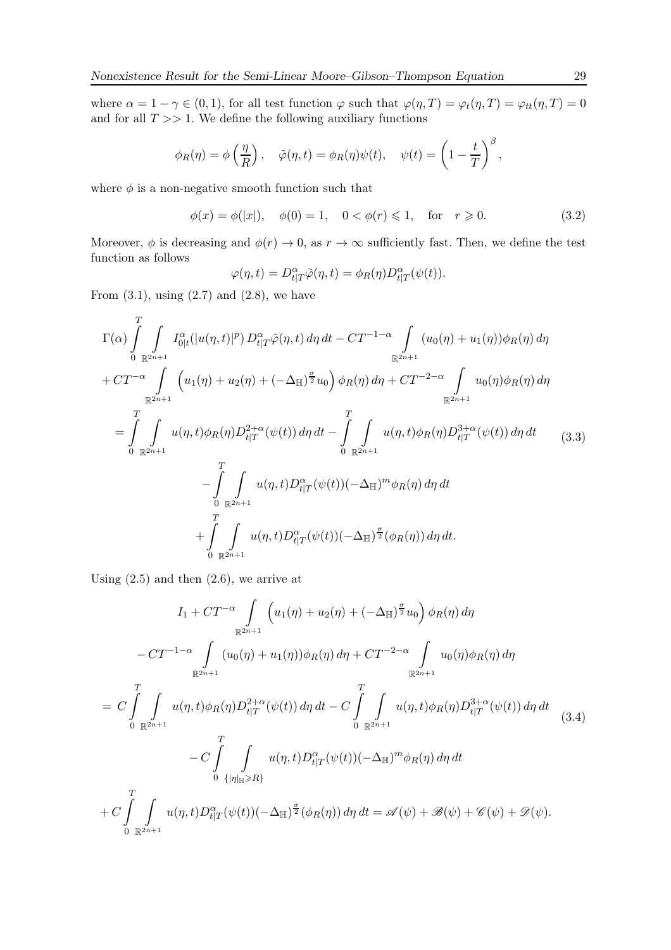where  $\alpha = 1 - \gamma \in (0, 1)$ , for all test function  $\varphi$  such that  $\varphi(\eta, T) = \varphi_t(\eta, T) = \varphi_{tt}(\eta, T) = 0$ and for all  $T \gg 1$ . We define the following auxiliary functions

$$
\phi_R(\eta) = \phi\left(\frac{\eta}{R}\right), \quad \tilde{\varphi}(\eta, t) = \phi_R(\eta)\psi(t), \quad \psi(t) = \left(1 - \frac{t}{T}\right)^{\beta},
$$

where  $\phi$  is a non-negative smooth function such that

$$
\phi(x) = \phi(|x|), \quad \phi(0) = 1, \quad 0 < \phi(r) \leq 1, \quad \text{for} \quad r \geq 0.
$$
\n
$$
(3.2)
$$

Moreover,  $\phi$  is decreasing and  $\phi(r) \to 0$ , as  $r \to \infty$  sufficiently fast. Then, we define the test function as follows

$$
\varphi(\eta, t) = D_{t|T}^{\alpha} \tilde{\varphi}(\eta, t) = \phi_R(\eta) D_{t|T}^{\alpha}(\psi(t)).
$$

From  $(3.1)$ , using  $(2.7)$  and  $(2.8)$ , we have

$$
\Gamma(\alpha) \int_{0}^{T} \int_{\mathbb{R}^{2n+1}} I_{0|t}^{\alpha}(|u(\eta,t)|^{p}) D_{t|T}^{\alpha}\tilde{\varphi}(\eta,t) d\eta dt - CT^{-1-\alpha} \int_{\mathbb{R}^{2n+1}} (u_{0}(\eta) + u_{1}(\eta))\phi_{R}(\eta) d\eta \n+ CT^{-\alpha} \int_{\mathbb{R}^{2n+1}} (u_{1}(\eta) + u_{2}(\eta) + (-\Delta_{\mathbb{H}})^{\frac{\sigma}{2}} u_{0}) \phi_{R}(\eta) d\eta + CT^{-2-\alpha} \int_{\mathbb{R}^{2n+1}} u_{0}(\eta)\phi_{R}(\eta) d\eta \n= \int_{0}^{T} \int_{\mathbb{R}^{2n+1}} u(\eta,t)\phi_{R}(\eta) D_{t|T}^{2+\alpha}(\psi(t)) d\eta dt - \int_{0}^{T} \int_{\mathbb{R}^{2n+1}} u(\eta,t)\phi_{R}(\eta) D_{t|T}^{3+\alpha}(\psi(t)) d\eta dt \n- \int_{0}^{T} \int_{\mathbb{R}^{2n+1}} u(\eta,t) D_{t|T}^{\alpha}(\psi(t)) (-\Delta_{\mathbb{H}})^{m} \phi_{R}(\eta) d\eta dt \n+ \int_{0}^{T} \int_{\mathbb{R}^{2n+1}} u(\eta,t) D_{t|T}^{\alpha}(\psi(t)) (-\Delta_{\mathbb{H}})^{\frac{\sigma}{2}} (\phi_{R}(\eta)) d\eta dt.
$$
\n(3.3)

Using  $(2.5)$  and then  $(2.6)$ , we arrive at

$$
I_{1} + CT^{-\alpha} \int_{\mathbb{R}^{2n+1}} \left( u_{1}(\eta) + u_{2}(\eta) + (-\Delta_{\mathbb{H}})^{\frac{\sigma}{2}} u_{0} \right) \phi_{R}(\eta) d\eta
$$
  

$$
-CT^{-1-\alpha} \int_{\mathbb{R}^{2n+1}} (u_{0}(\eta) + u_{1}(\eta)) \phi_{R}(\eta) d\eta + CT^{-2-\alpha} \int_{\mathbb{R}^{2n+1}} u_{0}(\eta) \phi_{R}(\eta) d\eta
$$
  

$$
= C \int_{0}^{T} \int_{\mathbb{R}^{2n+1}} u(\eta, t) \phi_{R}(\eta) D_{t|T}^{2+\alpha}(\psi(t)) d\eta dt - C \int_{0}^{T} \int_{\mathbb{R}^{2n+1}} u(\eta, t) \phi_{R}(\eta) D_{t|T}^{3+\alpha}(\psi(t)) d\eta dt
$$
  

$$
-C \int_{0}^{T} \int_{\{\eta|_{\mathbb{H}} \ge R\}} u(\eta, t) D_{t|T}^{\alpha}(\psi(t)) (-\Delta_{\mathbb{H}})^{m} \phi_{R}(\eta) d\eta dt
$$
  

$$
+ C \int_{0}^{T} \int_{\mathbb{R}^{2n+1}} u(\eta, t) D_{t|T}^{\alpha}(\psi(t)) (-\Delta_{\mathbb{H}})^{\frac{\sigma}{2}} (\phi_{R}(\eta)) d\eta dt = \mathscr{A}(\psi) + \mathscr{B}(\psi) + \mathscr{B}(\psi) + \mathscr{D}(\psi).
$$
  
(3.4)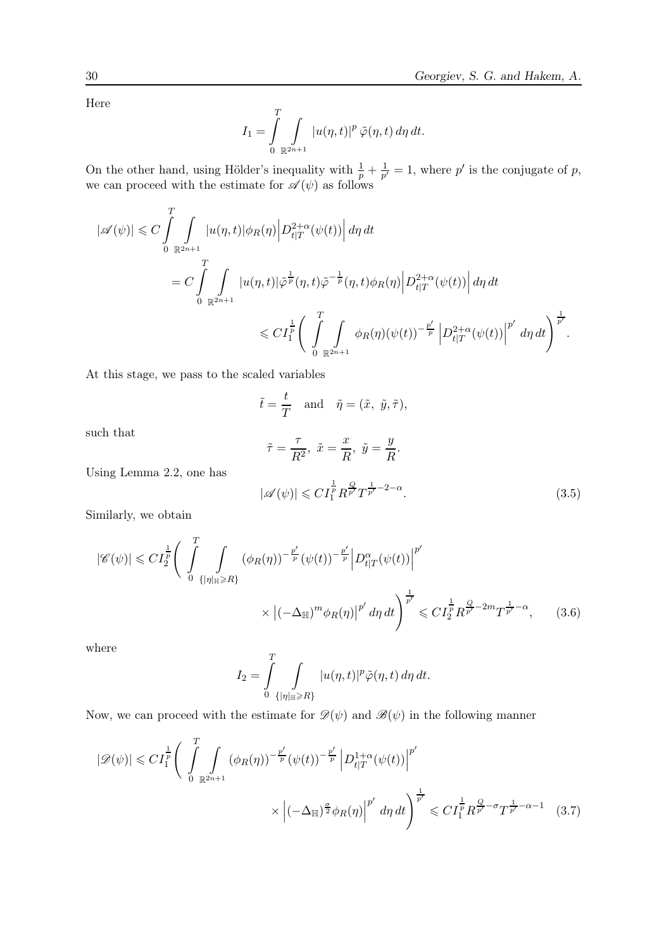Here

$$
I_1 = \int\limits_0^T \int\limits_{\mathbb{R}^{2n+1}} |u(\eta,t)|^p \,\tilde{\varphi}(\eta,t) \,d\eta \,dt.
$$

On the other hand, using Hölder's inequality with  $\frac{1}{p} + \frac{1}{p'}$  $\frac{1}{p'}=1$ , where p' is the conjugate of p, we can proceed with the estimate for  $\mathscr{A}(\psi)$  as follows

$$
\begin{split} |\mathscr{A}(\psi)|&\leqslant C\int\limits_{0}^{T}\int\limits_{\mathbb{R}^{2n+1}}|u(\eta,t)|\phi_R(\eta)\Big|D^{2+\alpha}_{t|T}(\psi(t))\Big|\,d\eta\,dt\\ &=C\int\limits_{0}^{T}\int\limits_{\mathbb{R}^{2n+1}}|u(\eta,t)|\tilde{\varphi}^{\frac{1}{p}}(\eta,t)\tilde{\varphi}^{-\frac{1}{p}}(\eta,t)\phi_R(\eta)\Big|D^{2+\alpha}_{t|T}(\psi(t))\Big|\,d\eta\,dt\\ &\leqslant C I_1^{\frac{1}{p}}\Bigg(\int\limits_{0}^{T}\int\limits_{\mathbb{R}^{2n+1}}\phi_R(\eta)(\psi(t))^{-\frac{p'}{p}}\Big|D^{2+\alpha}_{t|T}(\psi(t))\Big|^{p'}\,d\eta\,dt\Bigg)^{\frac{1}{p'}}. \end{split}
$$

At this stage, we pass to the scaled variables

$$
\tilde{t} = \frac{t}{T}
$$
 and  $\tilde{\eta} = (\tilde{x}, \tilde{y}, \tilde{\tau}),$ 

such that

$$
\tilde{\tau} = \frac{\tau}{R^2}, \ \tilde{x} = \frac{x}{R}, \ \tilde{y} = \frac{y}{R}.
$$

$$
|\mathscr{A}(\psi)| \leqslant C I_1^{\frac{1}{p}} R^{\frac{Q}{p'}} T^{\frac{1}{p'} - 2 - \alpha}.
$$
 (3.5)

Similarly, we obtain

Using Lemma 2.2, one has

$$
|\mathscr{C}(\psi)| \leqslant C I_2^{\frac{1}{p}} \Bigg( \int_{0}^{T} \int_{\{|\eta|_{\mathbb{H}} \geqslant R\}} (\phi_R(\eta))^{-\frac{p'}{p}} (\psi(t))^{-\frac{p'}{p}} \Big| D_{t|T}^{\alpha}(\psi(t)) \Big|^{p'} \times \Big| (-\Delta_{\mathbb{H}})^m \phi_R(\eta) \Big|^{p'} d\eta dt \Bigg)^{\frac{1}{p'}} \leqslant C I_2^{\frac{1}{p}} R^{\frac{Q}{p'} - 2m} T^{\frac{1}{p'} - \alpha}, \qquad (3.6)
$$

where

$$
I_2 = \int_{0}^{T} \int_{\{\vert \eta \vert_{\mathbb{H}} \ge R\}} |u(\eta, t)|^p \tilde{\varphi}(\eta, t) d\eta dt.
$$

Now, we can proceed with the estimate for  $\mathscr{D}(\psi)$  and  $\mathscr{B}(\psi)$  in the following manner

$$
|\mathcal{D}(\psi)| \leq C I_1^{\frac{1}{p}} \left( \int_{0}^{T} \int_{\mathbb{R}^{2n+1}} (\phi_R(\eta))^{-\frac{p'}{p}} (\psi(t))^{-\frac{p'}{p}} \left| D_{t|T}^{1+\alpha}(\psi(t)) \right|^{p'} \right) \times \left| (-\Delta_{\mathbb{H}})^{\frac{\sigma}{2}} \phi_R(\eta) \right|^{p'} d\eta dt \right)^{\frac{1}{p'}} \leq C I_1^{\frac{1}{p}} R^{\frac{Q}{p'} - \sigma} T^{\frac{1}{p'} - \alpha - 1} \tag{3.7}
$$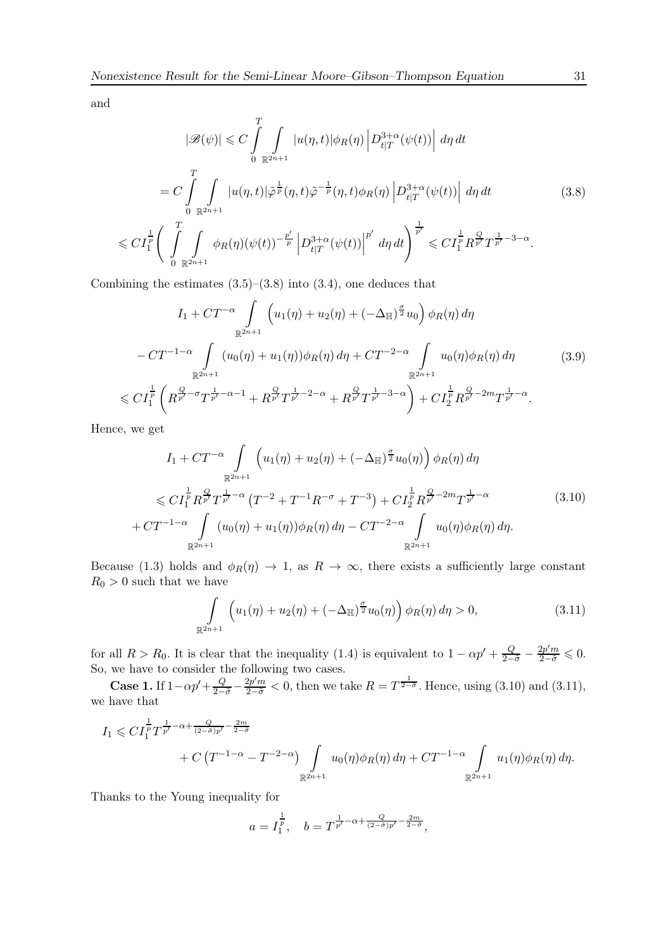and

$$
|\mathcal{B}(\psi)| \leq C \int_{0}^{T} \int_{\mathbb{R}^{2n+1}} |u(\eta, t)| \phi_R(\eta) |D_{t|T}^{3+\alpha}(\psi(t))| d\eta dt
$$
  
\n
$$
= C \int_{0}^{T} \int_{\mathbb{R}^{2n+1}} |u(\eta, t)| \tilde{\phi}^{\frac{1}{p}}(\eta, t) \tilde{\phi}^{-\frac{1}{p}}(\eta, t) \phi_R(\eta) |D_{t|T}^{3+\alpha}(\psi(t))| d\eta dt
$$
\n
$$
\leq C I_1^{\frac{1}{p}} \Bigg( \int_{0}^{T} \int_{\mathbb{R}^{2n+1}} \phi_R(\eta) (\psi(t))^{-\frac{p'}{p}} \Big| D_{t|T}^{3+\alpha}(\psi(t)) \Big|^{p'} d\eta dt \Bigg)^{\frac{1}{p'}} \leq C I_1^{\frac{1}{p}} R^{\frac{Q}{p'}} T^{\frac{1}{p'}-3-\alpha}.
$$
\n(3.8)

Combining the estimates  $(3.5)$ – $(3.8)$  into  $(3.4)$ , one deduces that

$$
I_{1} + CT^{-\alpha} \int_{\mathbb{R}^{2n+1}} \left( u_{1}(\eta) + u_{2}(\eta) + (-\Delta_{\mathbb{H}})^{\frac{\sigma}{2}} u_{0} \right) \phi_{R}(\eta) d\eta
$$
  

$$
- CT^{-1-\alpha} \int_{\mathbb{R}^{2n+1}} (u_{0}(\eta) + u_{1}(\eta)) \phi_{R}(\eta) d\eta + CT^{-2-\alpha} \int_{\mathbb{R}^{2n+1}} u_{0}(\eta) \phi_{R}(\eta) d\eta \qquad (3.9)
$$
  

$$
\leq C I_{1}^{\frac{1}{p}} \left( R^{\frac{Q}{p'} - \sigma} T^{\frac{1}{p'} - \alpha - 1} + R^{\frac{Q}{p'}} T^{\frac{1}{p'} - 2 - \alpha} + R^{\frac{Q}{p'}} T^{\frac{1}{p'} - 3 - \alpha} \right) + C I_{2}^{\frac{1}{p}} R^{\frac{Q}{p'} - 2m} T^{\frac{1}{p'} - \alpha}.
$$

Hence, we get

$$
I_{1} + CT^{-\alpha} \int_{\mathbb{R}^{2n+1}} \left( u_{1}(\eta) + u_{2}(\eta) + (-\Delta_{\mathbb{H}})^{\frac{\sigma}{2}} u_{0}(\eta) \right) \phi_{R}(\eta) d\eta
$$
  
\$\leqslant C I\_{1}^{\frac{1}{p}} R\_{p}^{\frac{Q}{p}} T\_{p}^{\frac{1}{p}-\alpha} (T^{-2} + T^{-1} R^{-\sigma} + T^{-3}) + C I\_{2}^{\frac{1}{p}} R\_{p}^{\frac{Q}{p}-2m} T\_{p}^{\frac{1}{p}-\alpha}\$ (3.10)  

$$
+ CT^{-1-\alpha} \int_{\mathbb{R}^{2n+1}} (u_{0}(\eta) + u_{1}(\eta)) \phi_{R}(\eta) d\eta - CT^{-2-\alpha} \int_{\mathbb{R}^{2n+1}} u_{0}(\eta) \phi_{R}(\eta) d\eta.
$$

Because (1.3) holds and  $\phi_R(\eta) \to 1$ , as  $R \to \infty$ , there exists a sufficiently large constant  $R_0>0$  such that we have

$$
\int_{\mathbb{R}^{2n+1}} \left( u_1(\eta) + u_2(\eta) + (-\Delta_{\mathbb{H}})^{\frac{\sigma}{2}} u_0(\eta) \right) \phi_R(\eta) d\eta > 0, \tag{3.11}
$$

for all  $R > R_0$ . It is clear that the inequality (1.4) is equivalent to  $1 - \alpha p' + \frac{Q}{2-\tilde{\sigma}} - \frac{2p'm}{2-\tilde{\sigma}} \leq 0$ . So, we have to consider the following two cases.

**Case 1.** If  $1 - \alpha p' + \frac{Q}{2-\tilde{\sigma}} - \frac{2p'm}{2-\tilde{\sigma}} < 0$ , then we take  $R = T^{\frac{1}{2-\tilde{\sigma}}}$ . Hence, using (3.10) and (3.11), we have that

$$
I_1 \leqslant C I_1^{\frac{1}{p}} T^{\frac{1}{p'} - \alpha + \frac{Q}{(2 - \tilde{\sigma})p'} - \frac{2m}{2 - \tilde{\sigma}}} + C \left( T^{-1 - \alpha} - T^{-2 - \alpha} \right) \int\limits_{\mathbb{R}^{2n+1}} u_0(\eta) \phi_R(\eta) d\eta + C T^{-1 - \alpha} \int\limits_{\mathbb{R}^{2n+1}} u_1(\eta) \phi_R(\eta) d\eta.
$$

Thanks to the Young inequality for

$$
a = I_1^{\frac{1}{p}}, \quad b = T^{\frac{1}{p'} - \alpha + \frac{Q}{(2-\tilde{\sigma})p'} - \frac{2m}{2-\tilde{\sigma}}},
$$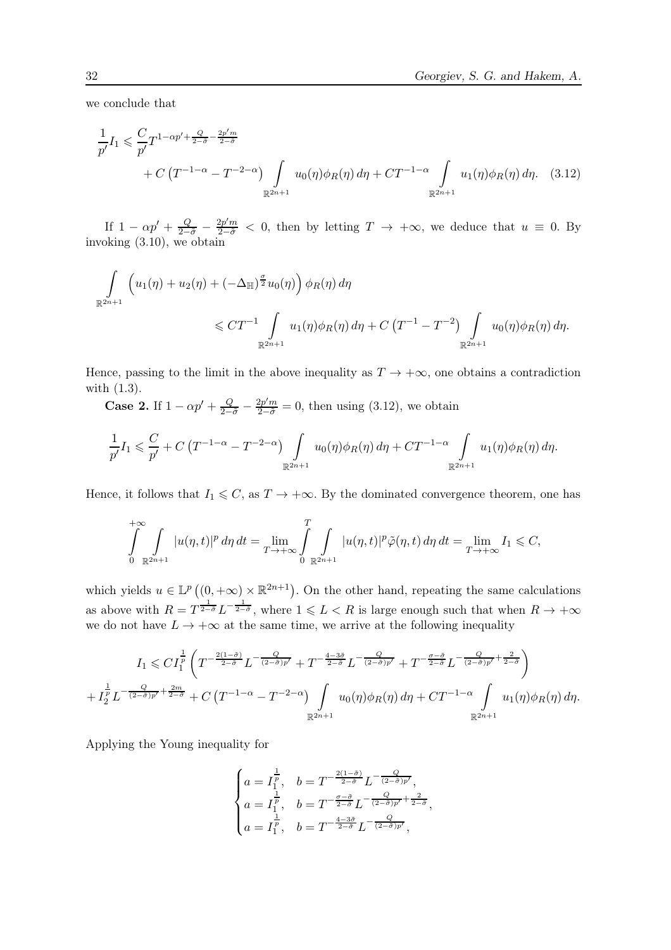we conclude that

$$
\frac{1}{p'}I_1 \leq \frac{C}{p'}T^{1-\alpha p' + \frac{Q}{2-\tilde{\sigma}} - \frac{2p'm}{2-\tilde{\sigma}}}
$$
\n
$$
+ C\left(T^{-1-\alpha} - T^{-2-\alpha}\right) \int_{\mathbb{R}^{2n+1}} u_0(\eta)\phi_R(\eta) d\eta + CT^{-1-\alpha} \int_{\mathbb{R}^{2n+1}} u_1(\eta)\phi_R(\eta) d\eta. \quad (3.12)
$$

If  $1 - \alpha p' + \frac{Q}{2-\tilde{\sigma}} - \frac{2p'm}{2-\tilde{\sigma}} < 0$ , then by letting  $T \to +\infty$ , we deduce that  $u \equiv 0$ . By invoking (3.10), we obtain

$$
\int_{\mathbb{R}^{2n+1}} \left( u_1(\eta) + u_2(\eta) + (-\Delta_{\mathbb{H}})^{\frac{\sigma}{2}} u_0(\eta) \right) \phi_R(\eta) d\eta
$$
\n
$$
\leq C T^{-1} \int_{\mathbb{R}^{2n+1}} u_1(\eta) \phi_R(\eta) d\eta + C \left( T^{-1} - T^{-2} \right) \int_{\mathbb{R}^{2n+1}} u_0(\eta) \phi_R(\eta) d\eta.
$$

Hence, passing to the limit in the above inequality as  $T \to +\infty$ , one obtains a contradiction with (1.3).

**Case 2.** If  $1 - \alpha p' + \frac{Q}{2-\tilde{\sigma}} - \frac{2p'm}{2-\tilde{\sigma}} = 0$ , then using (3.12), we obtain

$$
\frac{1}{p'}I_1 \leqslant \frac{C}{p'} + C\left(T^{-1-\alpha} - T^{-2-\alpha}\right) \int\limits_{\mathbb{R}^{2n+1}} u_0(\eta)\phi_R(\eta) d\eta + CT^{-1-\alpha} \int\limits_{\mathbb{R}^{2n+1}} u_1(\eta)\phi_R(\eta) d\eta.
$$

Hence, it follows that  $I_1 \leq C$ , as  $T \to +\infty$ . By the dominated convergence theorem, one has

$$
\int_{0}^{+\infty} \int_{\mathbb{R}^{2n+1}} |u(\eta,t)|^p d\eta dt = \lim_{T \to +\infty} \int_{0}^{T} \int_{\mathbb{R}^{2n+1}} |u(\eta,t)|^p \tilde{\varphi}(\eta,t) d\eta dt = \lim_{T \to +\infty} I_1 \leq C,
$$

which yields  $u \in \mathbb{L}^p((0, +\infty) \times \mathbb{R}^{2n+1})$ . On the other hand, repeating the same calculations as above with  $R = T^{\frac{1}{2-\tilde{\sigma}}} L^{-\frac{1}{2-\tilde{\sigma}}}$ , where  $1 \leqslant L < R$  is large enough such that when  $R \to +\infty$ we do not have  $L \to +\infty$  at the same time, we arrive at the following inequality

$$
I_1 \leqslant CI_1^{\frac{1}{p}}\left(T^{-\frac{2(1-\tilde{\sigma})}{2-\tilde{\sigma}}}L^{-\frac{Q}{(2-\tilde{\sigma})p'}}+T^{-\frac{4-3\tilde{\sigma}}{2-\tilde{\sigma}}}L^{-\frac{Q}{(2-\tilde{\sigma})p'}}+T^{-\frac{\sigma-\tilde{\sigma}}{2-\tilde{\sigma}}}L^{-\frac{Q}{(2-\tilde{\sigma})p'}+\frac{2}{2-\tilde{\sigma}}}\right)
$$
  
+
$$
I_2^{\frac{1}{p}}L^{-\frac{Q}{(2-\tilde{\sigma})p'}+\frac{2m}{2-\tilde{\sigma}}}+C\left(T^{-1-\alpha}-T^{-2-\alpha}\right)\int\limits_{\mathbb{R}^{2n+1}}u_0(\eta)\phi_R(\eta)\,d\eta+CT^{-1-\alpha}\int\limits_{\mathbb{R}^{2n+1}}u_1(\eta)\phi_R(\eta)\,d\eta.
$$

Applying the Young inequality for

$$
\begin{cases} a=I_{1}^{\frac{1}{p}}, \quad b= T^{-\frac{2(1-\tilde{\sigma})}{2-\tilde{\sigma}}} L^{-\frac{Q}{(2-\tilde{\sigma})p'}}, \\ a=I_{1}^{\frac{1}{p}}, \quad b= T^{-\frac{\sigma-\tilde{\sigma}}{2-\tilde{\sigma}}} L^{-\frac{Q}{(2-\tilde{\sigma})p'}+\frac{2}{2-\tilde{\sigma}}}, \\ a=I_{1}^{\frac{1}{p}}, \quad b= T^{-\frac{4-3\tilde{\sigma}}{2-\tilde{\sigma}}} L^{-\frac{Q}{(2-\tilde{\sigma})p'}}, \end{cases}
$$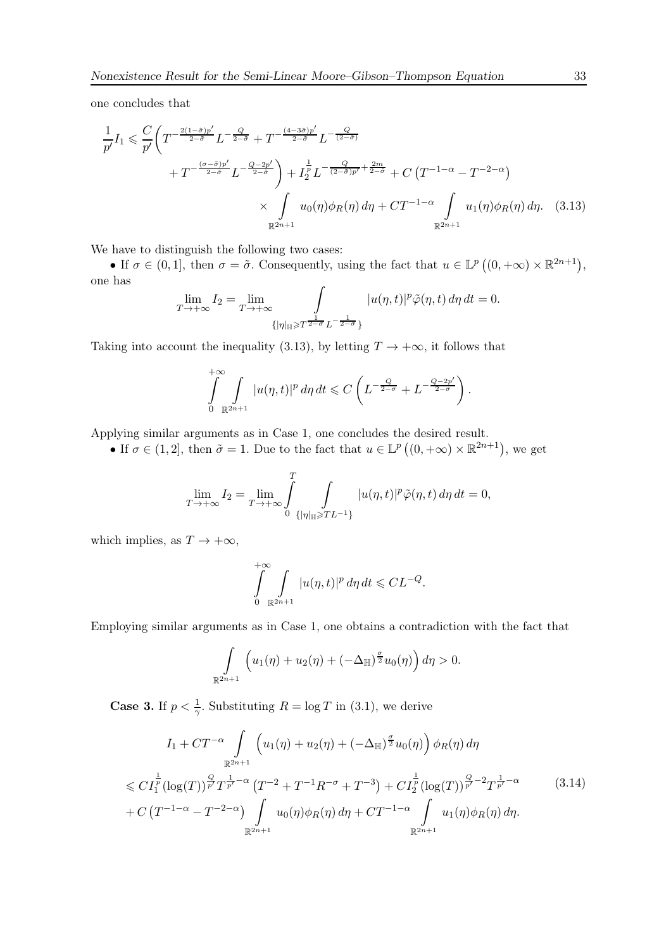one concludes that

$$
\frac{1}{p'}I_1 \leq \frac{C}{p'} \bigg( T^{-\frac{2(1-\tilde{\sigma})p'}{2-\tilde{\sigma}}} L^{-\frac{Q}{2-\tilde{\sigma}}} + T^{-\frac{(4-3\tilde{\sigma})p'}{2-\tilde{\sigma}}} L^{-\frac{Q}{(2-\tilde{\sigma})}} + \frac{1}{I_2^{\tilde{p}}} L^{-\frac{Q}{(2-\tilde{\sigma})p'}} + \frac{1}{I_2^{\tilde{p}}} L^{-\frac{Q}{(2-\tilde{\sigma})p'} + \frac{2m}{2-\tilde{\sigma}}} + C \left( T^{-1-\alpha} - T^{-2-\alpha} \right) \times \int_{\mathbb{R}^{2n+1}} u_0(\eta) \phi_R(\eta) d\eta + CT^{-1-\alpha} \int_{\mathbb{R}^{2n+1}} u_1(\eta) \phi_R(\eta) d\eta. \tag{3.13}
$$

We have to distinguish the following two cases:

• If  $\sigma \in (0,1]$ , then  $\sigma = \tilde{\sigma}$ . Consequently, using the fact that  $u \in \mathbb{L}^p((0,+\infty) \times \mathbb{R}^{2n+1})$ , one has

$$
\lim_{T \to +\infty} I_2 = \lim_{T \to +\infty} \int_{\{\eta \mid \mathbb{H} \ge T^{\frac{1}{2-\sigma}} L^{-\frac{1}{2-\sigma}}\}} |u(\eta, t)|^p \tilde{\varphi}(\eta, t) d\eta dt = 0.
$$

Taking into account the inequality (3.13), by letting  $T \to +\infty$ , it follows that

$$
\int_{0}^{+\infty} \int_{\mathbb{R}^{2n+1}} |u(\eta,t)|^p d\eta dt \leqslant C \left( L^{-\frac{Q}{2-\sigma}} + L^{-\frac{Q-2p'}{2-\sigma}} \right).
$$

Applying similar arguments as in Case 1, one concludes the desired result.

• If  $\sigma \in (1,2]$ , then  $\tilde{\sigma} = 1$ . Due to the fact that  $u \in \mathbb{L}^p ((0, +\infty) \times \mathbb{R}^{2n+1})$ , we get

$$
\lim_{T \to +\infty} I_2 = \lim_{T \to +\infty} \int_{0}^{T} \int_{\{\vert \eta \vert_{\mathbb{H}} \geq T} L^{-1}\}} |u(\eta, t)|^p \tilde{\varphi}(\eta, t) d\eta dt = 0,
$$

which implies, as  $T \to +\infty$ ,

$$
\int_{0}^{+\infty} \int_{\mathbb{R}^{2n+1}} |u(\eta, t)|^p d\eta dt \leqslant CL^{-Q}.
$$

Employing similar arguments as in Case 1, one obtains a contradiction with the fact that

$$
\int_{\mathbb{R}^{2n+1}} \left( u_1(\eta) + u_2(\eta) + \left( -\Delta_{\mathbb{H}} \right)^{\frac{\sigma}{2}} u_0(\eta) \right) d\eta > 0.
$$

**Case 3.** If  $p < \frac{1}{\gamma}$ . Substituting  $R = \log T$  in (3.1), we derive

$$
I_{1} + CT^{-\alpha} \int_{\mathbb{R}^{2n+1}} \left( u_{1}(\eta) + u_{2}(\eta) + \left( -\Delta_{\mathbb{H}} \right)^{\frac{\sigma}{2}} u_{0}(\eta) \right) \phi_{R}(\eta) d\eta
$$
  
\$\leqslant C I\_{1}^{\frac{1}{p}} (\log(T))^{\frac{Q}{p'}} T^{\frac{1}{p'} - \alpha} (T^{-2} + T^{-1} R^{-\sigma} + T^{-3}) + C I\_{2}^{\frac{1}{p}} (\log(T))^{\frac{Q}{p'} - 2} T^{\frac{1}{p'} - \alpha}\_{\frac{1}{p'} + C} \left( T^{-1 - \alpha} - T^{-2 - \alpha} \right) \int\_{\mathbb{R}^{2n+1}} u\_{0}(\eta) \phi\_{R}(\eta) d\eta + CT^{-1 - \alpha} \int\_{\mathbb{R}^{2n+1}} u\_{1}(\eta) \phi\_{R}(\eta) d\eta. \tag{3.14}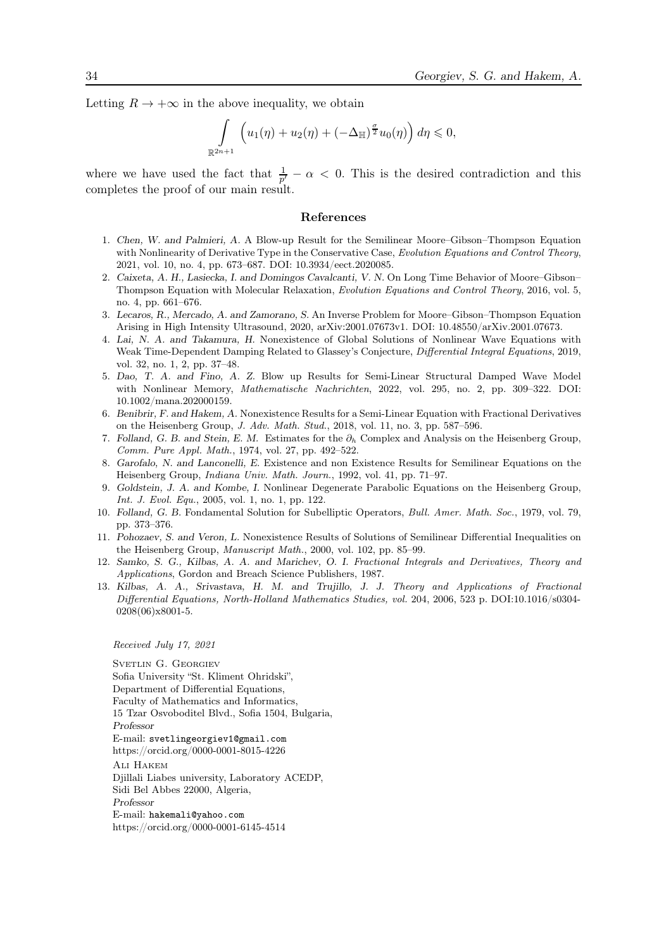Letting  $R \to +\infty$  in the above inequality, we obtain

$$
\int_{\mathbb{R}^{2n+1}} \left( u_1(\eta) + u_2(\eta) + \left( -\Delta_{\mathbb{H}} \right)^{\frac{\sigma}{2}} u_0(\eta) \right) d\eta \leqslant 0,
$$

where we have used the fact that  $\frac{1}{p'} - \alpha < 0$ . This is the desired contradiction and this completes the proof of our main result.

#### References

- 1. Chen, W. and Palmieri, A. A Blow-up Result for the Semilinear Moore–Gibson–Thompson Equation with Nonlinearity of Derivative Type in the Conservative Case, Evolution Equations and Control Theory, 2021, vol. 10, no. 4, pp. 673–687. DOI: 10.3934/eect.2020085.
- 2. Caixeta, A. H., Lasiecka, I. and Domingos Cavalcanti, V. N. On Long Time Behavior of Moore–Gibson– Thompson Equation with Molecular Relaxation, Evolution Equations and Control Theory, 2016, vol. 5, no. 4, pp. 661–676.
- 3. Lecaros, R., Mercado, A. and Zamorano, S. An Inverse Problem for Moore–Gibson–Thompson Equation Arising in High Intensity Ultrasound, 2020, arXiv:2001.07673v1. DOI: 10.48550/arXiv.2001.07673.
- 4. Lai, N. A. and Takamura, H. Nonexistence of Global Solutions of Nonlinear Wave Equations with Weak Time-Dependent Damping Related to Glassey's Conjecture, Differential Integral Equations, 2019, vol. 32, no. 1, 2, pp. 37–48.
- 5. Dao, T. A. and Fino, A. Z. Blow up Results for Semi-Linear Structural Damped Wave Model with Nonlinear Memory, Mathematische Nachrichten, 2022, vol. 295, no. 2, pp. 309–322. DOI: 10.1002/mana.202000159.
- 6. Benibrir, F. and Hakem, A. Nonexistence Results for a Semi-Linear Equation with Fractional Derivatives on the Heisenberg Group, J. Adv. Math. Stud., 2018, vol. 11, no. 3, pp. 587–596.
- 7. Folland, G. B. and Stein, E. M. Estimates for the  $\partial_h$  Complex and Analysis on the Heisenberg Group, Comm. Pure Appl. Math., 1974, vol. 27, pp. 492–522.
- 8. Garofalo, N. and Lanconelli, E. Existence and non Existence Results for Semilinear Equations on the Heisenberg Group, Indiana Univ. Math. Journ., 1992, vol. 41, pp. 71–97.
- 9. Goldstein, J. A. and Kombe, I. Nonlinear Degenerate Parabolic Equations on the Heisenberg Group, Int. J. Evol. Equ., 2005, vol. 1, no. 1, pp. 122.
- 10. Folland, G. B. Fondamental Solution for Subelliptic Operators, Bull. Amer. Math. Soc., 1979, vol. 79, pp. 373–376.
- 11. Pohozaev, S. and Veron, L. Nonexistence Results of Solutions of Semilinear Differential Inequalities on the Heisenberg Group, Manuscript Math., 2000, vol. 102, pp. 85–99.
- 12. Samko, S. G., Kilbas, A. A. and Marichev, O. I. Fractional Integrals and Derivatives, Theory and Applications, Gordon and Breach Science Publishers, 1987.
- 13. Kilbas, A. A., Srivastava, H. M. and Trujillo, J. J. Theory and Applications of Fractional Differential Equations, North-Holland Mathematics Studies, vol. 204, 2006, 523 p. DOI:10.1016/s0304- 0208(06)x8001-5.

#### Received July 17, 2021

SVETLIN G. GEORGIEV Sofia University "St. Kliment Ohridski", Department of Differential Equations, Faculty of Mathematics and Informatics, 15 Tzar Osvoboditel Blvd., Sofia 1504, Bulgaria, Professor E-mail: svetlingeorgiev1@gmail.com https://orcid.org/0000-0001-8015-4226 Ali Hakem Djillali Liabes university, Laboratory ACEDP, Sidi Bel Abbes 22000, Algeria, Professor E-mail: hakemali@yahoo.com https://orcid.org/0000-0001-6145-4514